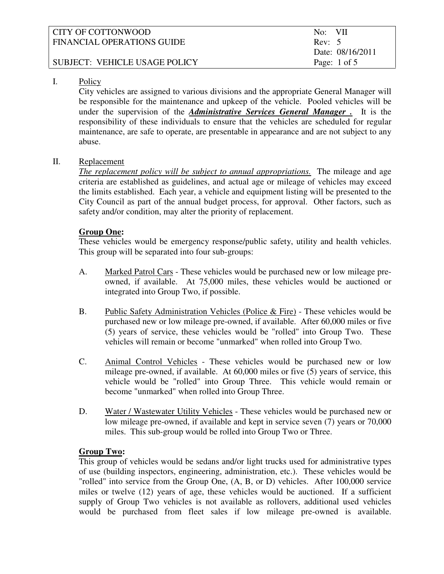| CITY OF COTTONWOOD            | No: VII                 |
|-------------------------------|-------------------------|
| FINANCIAL OPERATIONS GUIDE    | Rev: 5                  |
|                               | Date: 08/16/2011        |
| SUBJECT: VEHICLE USAGE POLICY | Page: $1 \text{ of } 5$ |
|                               |                         |

# I. Policy

 City vehicles are assigned to various divisions and the appropriate General Manager will be responsible for the maintenance and upkeep of the vehicle. Pooled vehicles will be under the supervision of the *Administrative Services General Manager .* It is the responsibility of these individuals to ensure that the vehicles are scheduled for regular maintenance, are safe to operate, are presentable in appearance and are not subject to any abuse.

# II. Replacement

*The replacement policy will be subject to annual appropriations.* The mileage and age criteria are established as guidelines, and actual age or mileage of vehicles may exceed the limits established. Each year, a vehicle and equipment listing will be presented to the City Council as part of the annual budget process, for approval. Other factors, such as safety and/or condition, may alter the priority of replacement.

# **Group One:**

These vehicles would be emergency response/public safety, utility and health vehicles. This group will be separated into four sub-groups:

- A. Marked Patrol Cars These vehicles would be purchased new or low mileage preowned, if available. At 75,000 miles, these vehicles would be auctioned or integrated into Group Two, if possible.
- B. Public Safety Administration Vehicles (Police & Fire) These vehicles would be purchased new or low mileage pre-owned, if available. After 60,000 miles or five (5) years of service, these vehicles would be "rolled" into Group Two. These vehicles will remain or become "unmarked" when rolled into Group Two.
- C. Animal Control Vehicles These vehicles would be purchased new or low mileage pre-owned, if available. At 60,000 miles or five (5) years of service, this vehicle would be "rolled" into Group Three. This vehicle would remain or become "unmarked" when rolled into Group Three.
- D. Water / Wastewater Utility Vehicles These vehicles would be purchased new or low mileage pre-owned, if available and kept in service seven (7) years or 70,000 miles. This sub-group would be rolled into Group Two or Three.

# **Group Two:**

This group of vehicles would be sedans and/or light trucks used for administrative types of use (building inspectors, engineering, administration, etc.). These vehicles would be "rolled" into service from the Group One, (A, B, or D) vehicles. After 100,000 service miles or twelve (12) years of age, these vehicles would be auctioned. If a sufficient supply of Group Two vehicles is not available as rollovers, additional used vehicles would be purchased from fleet sales if low mileage pre-owned is available.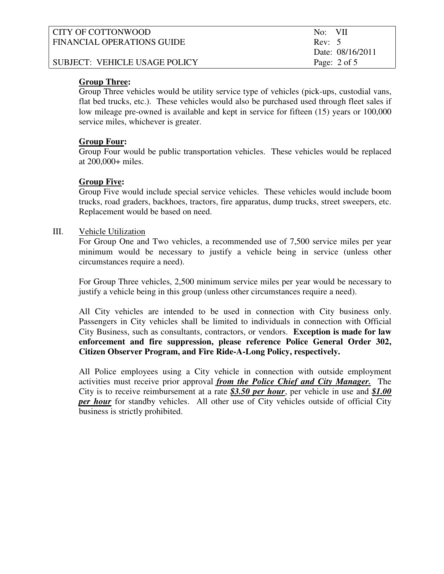| CITY OF COTTONWOOD            | No: VII                 |
|-------------------------------|-------------------------|
| FINANCIAL OPERATIONS GUIDE    | Rev: 5                  |
|                               | Date: 08/16/2011        |
| SUBJECT: VEHICLE USAGE POLICY | Page: $2 \text{ of } 5$ |
|                               |                         |

### **Group Three:**

Group Three vehicles would be utility service type of vehicles (pick-ups, custodial vans, flat bed trucks, etc.). These vehicles would also be purchased used through fleet sales if low mileage pre-owned is available and kept in service for fifteen (15) years or 100,000 service miles, whichever is greater.

#### **Group Four:**

Group Four would be public transportation vehicles. These vehicles would be replaced at 200,000+ miles.

#### **Group Five:**

Group Five would include special service vehicles. These vehicles would include boom trucks, road graders, backhoes, tractors, fire apparatus, dump trucks, street sweepers, etc. Replacement would be based on need.

#### III. Vehicle Utilization

 For Group One and Two vehicles, a recommended use of 7,500 service miles per year minimum would be necessary to justify a vehicle being in service (unless other circumstances require a need).

 For Group Three vehicles, 2,500 minimum service miles per year would be necessary to justify a vehicle being in this group (unless other circumstances require a need).

 All City vehicles are intended to be used in connection with City business only. Passengers in City vehicles shall be limited to individuals in connection with Official City Business, such as consultants, contractors, or vendors. **Exception is made for law enforcement and fire suppression, please reference Police General Order 302, Citizen Observer Program, and Fire Ride-A-Long Policy, respectively.** 

 All Police employees using a City vehicle in connection with outside employment activities must receive prior approval *from the Police Chief and City Manager.* The City is to receive reimbursement at a rate *\$3.50 per hour*, per vehicle in use and *\$1.00 per hour* for standby vehicles. All other use of City vehicles outside of official City business is strictly prohibited.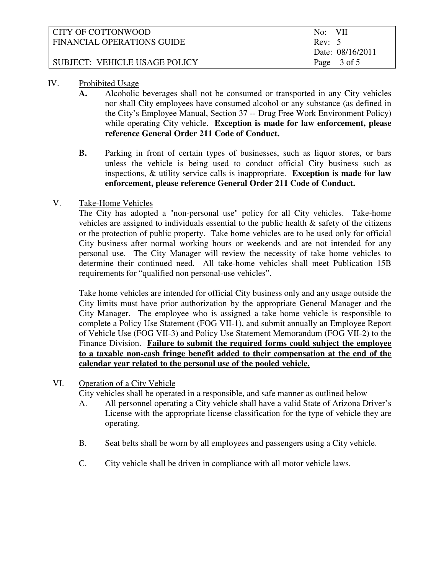| CITY OF COTTONWOOD            | No: VII          |
|-------------------------------|------------------|
| FINANCIAL OPERATIONS GUIDE    | Rev: 5           |
|                               | Date: 08/16/2011 |
| SUBJECT: VEHICLE USAGE POLICY | Page 3 of 5      |

# IV. Prohibited Usage

- **A.** Alcoholic beverages shall not be consumed or transported in any City vehicles nor shall City employees have consumed alcohol or any substance (as defined in the City's Employee Manual, Section 37 -- Drug Free Work Environment Policy) while operating City vehicle. **Exception is made for law enforcement, please reference General Order 211 Code of Conduct.**
- **B.** Parking in front of certain types of businesses, such as liquor stores, or bars unless the vehicle is being used to conduct official City business such as inspections, & utility service calls is inappropriate. **Exception is made for law enforcement, please reference General Order 211 Code of Conduct.**

# V. Take-Home Vehicles

 The City has adopted a "non-personal use" policy for all City vehicles. Take-home vehicles are assigned to individuals essential to the public health & safety of the citizens or the protection of public property. Take home vehicles are to be used only for official City business after normal working hours or weekends and are not intended for any personal use. The City Manager will review the necessity of take home vehicles to determine their continued need. All take-home vehicles shall meet Publication 15B requirements for "qualified non personal-use vehicles".

 Take home vehicles are intended for official City business only and any usage outside the City limits must have prior authorization by the appropriate General Manager and the City Manager. The employee who is assigned a take home vehicle is responsible to complete a Policy Use Statement (FOG VII-1), and submit annually an Employee Report of Vehicle Use (FOG VII-3) and Policy Use Statement Memorandum (FOG VII-2) to the Finance Division. **Failure to submit the required forms could subject the employee to a taxable non-cash fringe benefit added to their compensation at the end of the calendar year related to the personal use of the pooled vehicle.**

# VI. Operation of a City Vehicle

City vehicles shall be operated in a responsible, and safe manner as outlined below

- A. All personnel operating a City vehicle shall have a valid State of Arizona Driver's License with the appropriate license classification for the type of vehicle they are operating.
- B. Seat belts shall be worn by all employees and passengers using a City vehicle.
- C. City vehicle shall be driven in compliance with all motor vehicle laws.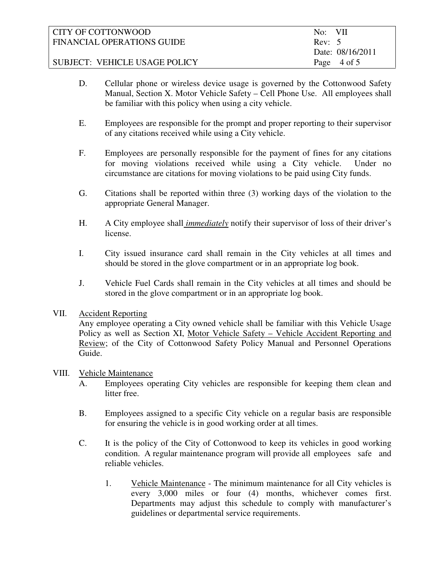| CITY OF COTTONWOOD            | No: VII          |
|-------------------------------|------------------|
| FINANCIAL OPERATIONS GUIDE    | Rev: 5           |
|                               | Date: 08/16/2011 |
| SUBJECT: VEHICLE USAGE POLICY | Page 4 of 5      |

- D. Cellular phone or wireless device usage is governed by the Cottonwood Safety Manual, Section X. Motor Vehicle Safety – Cell Phone Use. All employees shall be familiar with this policy when using a city vehicle.
- E. Employees are responsible for the prompt and proper reporting to their supervisor of any citations received while using a City vehicle.
- F. Employees are personally responsible for the payment of fines for any citations for moving violations received while using a City vehicle. Under no circumstance are citations for moving violations to be paid using City funds.
- G. Citations shall be reported within three (3) working days of the violation to the appropriate General Manager.
- H. A City employee shall *immediately* notify their supervisor of loss of their driver's license.
- I. City issued insurance card shall remain in the City vehicles at all times and should be stored in the glove compartment or in an appropriate log book.
- J. Vehicle Fuel Cards shall remain in the City vehicles at all times and should be stored in the glove compartment or in an appropriate log book.

#### VII. Accident Reporting

Any employee operating a City owned vehicle shall be familiar with this Vehicle Usage Policy as well as Section XI, Motor Vehicle Safety – Vehicle Accident Reporting and Review; of the City of Cottonwood Safety Policy Manual and Personnel Operations Guide.

#### VIII. Vehicle Maintenance

- A. Employees operating City vehicles are responsible for keeping them clean and litter free.
- B. Employees assigned to a specific City vehicle on a regular basis are responsible for ensuring the vehicle is in good working order at all times.
- C. It is the policy of the City of Cottonwood to keep its vehicles in good working condition. A regular maintenance program will provide all employees safe and reliable vehicles.
	- 1. Vehicle Maintenance The minimum maintenance for all City vehicles is every 3,000 miles or four (4) months, whichever comes first. Departments may adjust this schedule to comply with manufacturer's guidelines or departmental service requirements.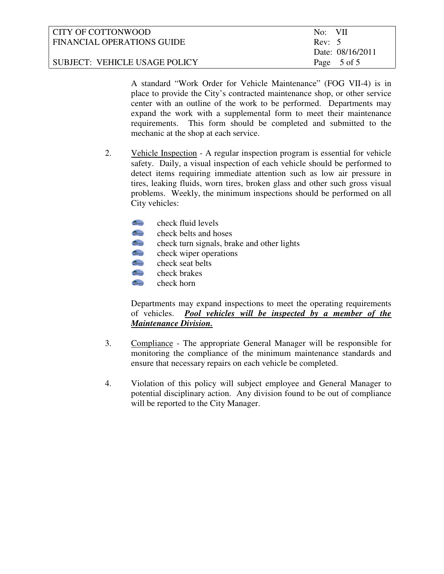| CITY OF COTTONWOOD            | No: VII          |
|-------------------------------|------------------|
| FINANCIAL OPERATIONS GUIDE    | Rev: 5           |
|                               | Date: 08/16/2011 |
| SUBJECT: VEHICLE USAGE POLICY | Page 5 of 5      |

A standard "Work Order for Vehicle Maintenance" (FOG VII-4) is in place to provide the City's contracted maintenance shop, or other service center with an outline of the work to be performed. Departments may expand the work with a supplemental form to meet their maintenance requirements. This form should be completed and submitted to the mechanic at the shop at each service.

- 2. Vehicle Inspection A regular inspection program is essential for vehicle safety. Daily, a visual inspection of each vehicle should be performed to detect items requiring immediate attention such as low air pressure in tires, leaking fluids, worn tires, broken glass and other such gross visual problems. Weekly, the minimum inspections should be performed on all City vehicles:
	- $T_{\text{beam}}$ check fluid levels
	- $T_{\text{down}}$ check belts and hoses
	- $10$ check turn signals, brake and other lights
	- $T_{\text{O}}$ check wiper operations
	- $\frac{1}{\sqrt{2}}$ check seat belts
	- $10$ check brakes
	- $10$ check horn

Departments may expand inspections to meet the operating requirements of vehicles. *Pool vehicles will be inspected by a member of the Maintenance Division.*

- 3. Compliance The appropriate General Manager will be responsible for monitoring the compliance of the minimum maintenance standards and ensure that necessary repairs on each vehicle be completed.
- 4. Violation of this policy will subject employee and General Manager to potential disciplinary action. Any division found to be out of compliance will be reported to the City Manager.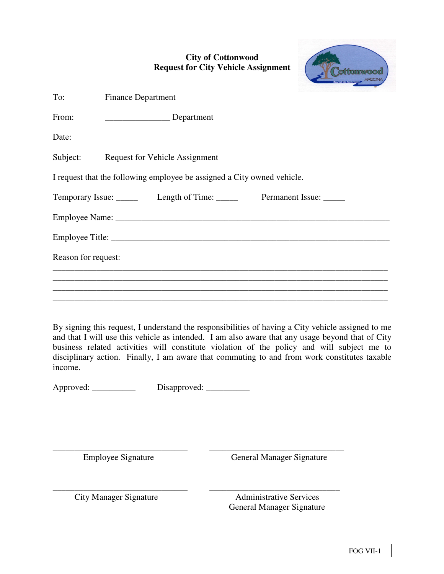# **City of Cottonwood Request for City Vehicle Assignment**

| To:                 | <b>Finance Department</b>                                               |  |
|---------------------|-------------------------------------------------------------------------|--|
| From:               | Department                                                              |  |
| Date:               |                                                                         |  |
|                     | Subject: Request for Vehicle Assignment                                 |  |
|                     | I request that the following employee be assigned a City owned vehicle. |  |
|                     | Temporary Issue: ______ Length of Time: ______ Permanent Issue: _____   |  |
|                     |                                                                         |  |
|                     |                                                                         |  |
| Reason for request: |                                                                         |  |
|                     |                                                                         |  |
|                     |                                                                         |  |

By signing this request, I understand the responsibilities of having a City vehicle assigned to me and that I will use this vehicle as intended. I am also aware that any usage beyond that of City business related activities will constitute violation of the policy and will subject me to disciplinary action. Finally, I am aware that commuting to and from work constitutes taxable income.

Approved: \_\_\_\_\_\_\_\_\_\_\_ Disapproved: \_\_\_\_\_\_\_\_\_\_

\_\_\_\_\_\_\_\_\_\_\_\_\_\_\_\_\_\_\_\_\_\_\_\_\_\_\_\_\_\_\_ \_\_\_\_\_\_\_\_\_\_\_\_\_\_\_\_\_\_\_\_\_\_\_\_\_\_\_\_\_\_\_ Employee Signature General Manager Signature

\_\_\_\_\_\_\_\_\_\_\_\_\_\_\_\_\_\_\_\_\_\_\_\_\_\_\_\_\_\_\_ \_\_\_\_\_\_\_\_\_\_\_\_\_\_\_\_\_\_\_\_\_\_\_\_\_\_\_\_\_\_ City Manager Signature **Administrative Services** General Manager Signature

tonwood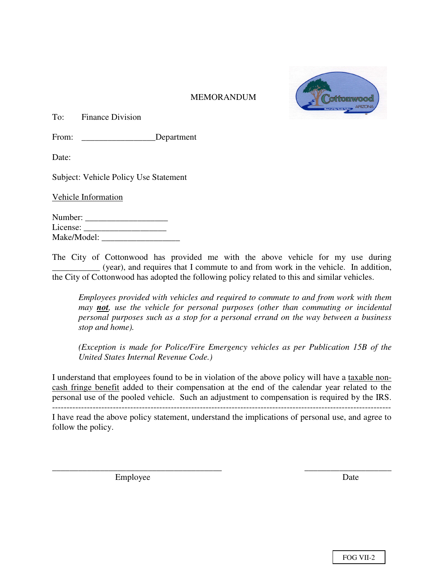

#### **MEMORANDUM**

To: Finance Division

From: Department

Date:

Subject: Vehicle Policy Use Statement

Vehicle Information

| Number:     |  |
|-------------|--|
| License:    |  |
| Make/Model: |  |

The City of Cottonwood has provided me with the above vehicle for my use during \_\_\_\_\_\_\_\_\_\_\_ (year), and requires that I commute to and from work in the vehicle. In addition, the City of Cottonwood has adopted the following policy related to this and similar vehicles.

*Employees provided with vehicles and required to commute to and from work with them may not, use the vehicle for personal purposes (other than commuting or incidental personal purposes such as a stop for a personal errand on the way between a business stop and home).* 

 *(Exception is made for Police/Fire Emergency vehicles as per Publication 15B of the United States Internal Revenue Code.)* 

I understand that employees found to be in violation of the above policy will have a taxable noncash fringe benefit added to their compensation at the end of the calendar year related to the personal use of the pooled vehicle. Such an adjustment to compensation is required by the IRS.

I have read the above policy statement, understand the implications of personal use, and agree to follow the policy.

\_\_\_\_\_\_\_\_\_\_\_\_\_\_\_\_\_\_\_\_\_\_\_\_\_\_\_\_\_\_\_\_\_\_\_\_\_\_\_ \_\_\_\_\_\_\_\_\_\_\_\_\_\_\_\_\_\_\_\_

Employee Date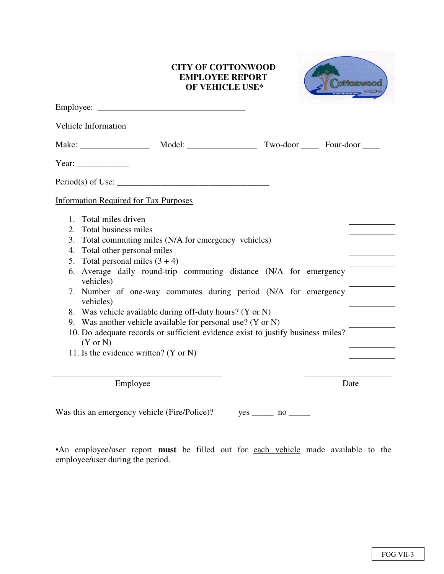#### **CITY OF COTTONWOOD EMPLOYEE REPORT OF VEHICLE USE\***



|                | <b>Vehicle Information</b>                                                                                                                                                                                                                                                                                                                                                                                                                                                                                                                                                   |                                    |  |
|----------------|------------------------------------------------------------------------------------------------------------------------------------------------------------------------------------------------------------------------------------------------------------------------------------------------------------------------------------------------------------------------------------------------------------------------------------------------------------------------------------------------------------------------------------------------------------------------------|------------------------------------|--|
|                |                                                                                                                                                                                                                                                                                                                                                                                                                                                                                                                                                                              | Two-door ________ Four-door ______ |  |
|                | Year: $\frac{1}{\sqrt{2\pi}}$                                                                                                                                                                                                                                                                                                                                                                                                                                                                                                                                                |                                    |  |
|                |                                                                                                                                                                                                                                                                                                                                                                                                                                                                                                                                                                              |                                    |  |
|                | <b>Information Required for Tax Purposes</b>                                                                                                                                                                                                                                                                                                                                                                                                                                                                                                                                 |                                    |  |
| 3.<br>4.<br>7. | 1. Total miles driven<br>2. Total business miles<br>Total commuting miles (N/A for emergency vehicles)<br>Total other personal miles<br>5. Total personal miles $(3 + 4)$<br>6. Average daily round-trip commuting distance (N/A for emergency<br>vehicles)<br>Number of one-way commutes during period (N/A for emergency<br>vehicles)<br>8. Was vehicle available during off-duty hours? (Y or N)<br>9. Was another vehicle available for personal use? (Y or N)<br>10. Do adequate records or sufficient evidence exist to justify business miles?<br>$(Y \text{ or } N)$ |                                    |  |
|                | 11. Is the evidence written? (Y or N)                                                                                                                                                                                                                                                                                                                                                                                                                                                                                                                                        |                                    |  |
|                | Employee                                                                                                                                                                                                                                                                                                                                                                                                                                                                                                                                                                     | Date                               |  |

Was this an emergency vehicle (Fire/Police)? yes \_\_\_\_\_\_ no \_\_\_\_\_\_

•An employee/user report **must** be filled out for each vehicle made available to the employee/user during the period.